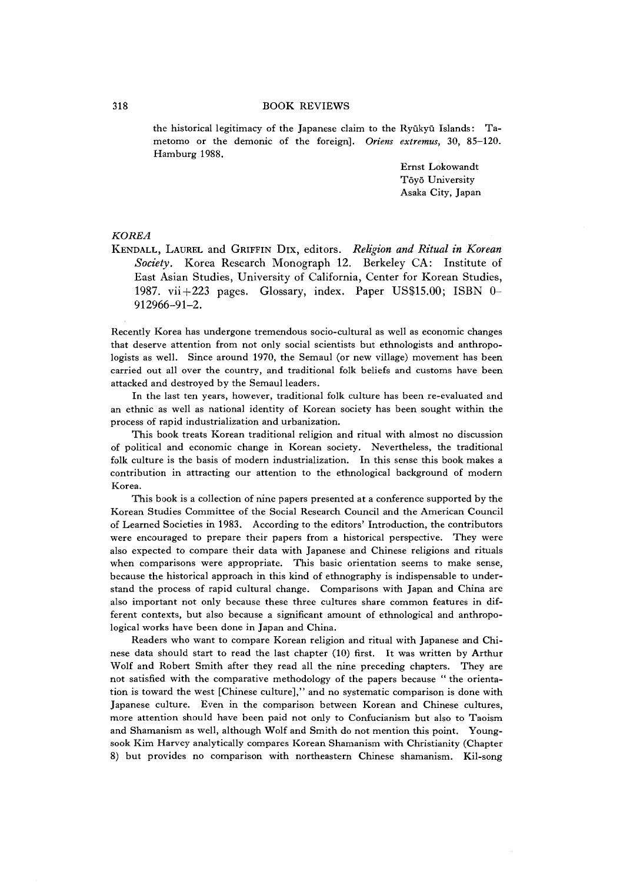the historical legitimacy of the Japanese claim to the Ryūkyū Islands: Tametomo or the demonic of the foreign]. *Oriens extremus,* 30, 85-120. Hamburg 1988.

> Ernst Lokowandt Toyo University Asaka City, Japan

## $KOREA$

KENDALL, LAUREL and GRIFFIN DIX, editors. Religion and Ritual in Korean *Society.* Korea Research Monograph 12. Berkeley CA: Institute of East Asian Studies, University of California, Center for Korean Studies, 1987. vii $+223$  pages. Glossary, index. Paper US\$15.00; ISBN 0-912966-91-2.

Recently Korea has undergone tremendous socio-cultural as well as economic changes that deserve attention from not only social scientists but ethnologists and anthropologists as well. Since around 1970, the Semaul (or new village) movement has been carried out all over the country, and traditional folk beliefs and customs have been attacked and destroyed by the Semaul leaders.

In the last ten years, however, traditional folk culture has been re-evaluated and an ethnic as well as national identity of Korean society has been sought within the process of rapid industrialization and urbanization.

This book treats Korean traditional religion and ritual with almost no discussion of political and economic change in Korean society. Nevertheless, the traditional folk culture is the basis of modern industrialization. In this sense this book makes a contribution in attracting our attention to the ethnological background of modern Korea.

This book is a collection of nine papers presented at a conference supported by the Korean Studies Committee of the Social Research Council and the American Council of Learned Societies in 1983. According to the editors' Introduction, the contributors were encouraged to prepare their papers from a historical perspective. They were also expected to compare their data with Japanese and Chinese religions and rituals when comparisons were appropriate. This basic orientation seems to make sense, because the historical approach in this kind of ethnography is indispensable to understand the process of rapid cultural change. Comparisons with Japan and China are also important not only because these three cultures share common features in different contexts, but also because a significant amount of ethnological and anthropological works have been done in Japan and China.

Readers who want to compare Korean religion and ritual with Japanese and Chinese data should start to read the last chapter (10) first. It was written by Arthur Wolf and Robert Smith after they read all the nine preceding chapters. They are not satisfied with the comparative methodology of the papers because " the orientation is toward the west [Chinese culture]," and no systematic comparison is done with Japanese culture. Even in the comparison between Korean and Chinese cultures, more attention should have been paid not only to Confucianism but also to Taoism and Shamanism as well, although Wolf and Smith do not mention this point. Youngsook Kim Harvey analytically compares Korean Shamanism with Christianity (Chapter 8) but provides no comparison with northeastern Chinese shamanism. Kil-song